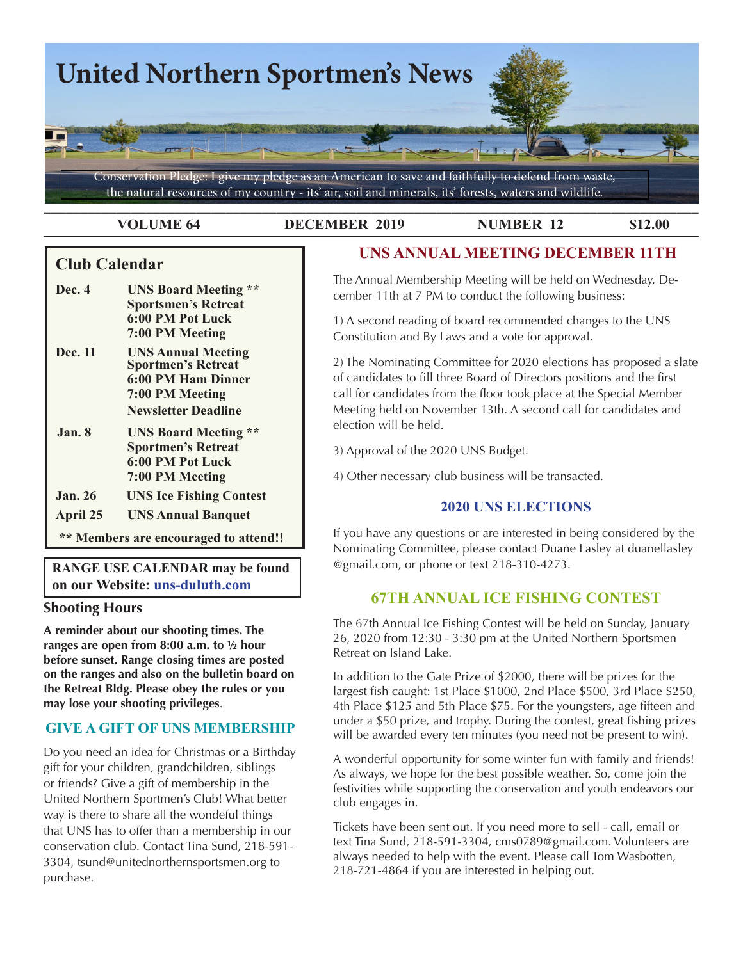

#### **VOLUME 64 DECEMBER 2019 NUMBER 12 \$12.00**

## **Club Calendar**

- **Dec. 4 UNS Board Meeting \*\* Sportsmen's Retreat 6:00 PM Pot Luck 7:00 PM Meeting**
- **Dec. 11 UNS Annual Meeting Sportmen's Retreat 6:00 PM Ham Dinner 7:00 PM Meeting Newsletter Deadline**
- **Jan. 8 UNS Board Meeting \*\* Sportmen's Retreat 6:00 PM Pot Luck 7:00 PM Meeting**
- **Jan. 26 UNS Ice Fishing Contest**
- **April 25 UNS Annual Banquet**

 **\*\* Members are encouraged to attend!!**

**RANGE USE CALENDAR may be found on our Website: uns-duluth.com**

## **Shooting Hours**

**A reminder about our shooting times. The ranges are open from 8:00 a.m. to ½ hour before sunset. Range closing times are posted on the ranges and also on the bulletin board on the Retreat Bldg. Please obey the rules or you may lose your shooting privileges**.

## **GIVE A GIFT OF UNS MEMBERSHIP**

Do you need an idea for Christmas or a Birthday gift for your children, grandchildren, siblings or friends? Give a gift of membership in the United Northern Sportmen's Club! What better way is there to share all the wondeful things that UNS has to offer than a membership in our conservation club. Contact Tina Sund, 218-591- 3304, tsund@unitednorthernsportsmen.org to purchase.

# **UNS ANNUAL MEETING DECEMBER 11TH**

The Annual Membership Meeting will be held on Wednesday, December 11th at 7 PM to conduct the following business:

1) A second reading of board recommended changes to the UNS Constitution and By Laws and a vote for approval.

2) The Nominating Committee for 2020 elections has proposed a slate of candidates to fill three Board of Directors positions and the first call for candidates from the floor took place at the Special Member Meeting held on November 13th. A second call for candidates and election will be held.

3) Approval of the 2020 UNS Budget.

4) Other necessary club business will be transacted.

## **2020 UNS ELECTIONS**

If you have any questions or are interested in being considered by the Nominating Committee, please contact Duane Lasley at duanellasley @gmail.com, or phone or text 218-310-4273.

# **67TH ANNUAL ICE FISHING CONTEST**

The 67th Annual Ice Fishing Contest will be held on Sunday, January 26, 2020 from 12:30 - 3:30 pm at the United Northern Sportsmen Retreat on Island Lake.

In addition to the Gate Prize of \$2000, there will be prizes for the largest fish caught: 1st Place \$1000, 2nd Place \$500, 3rd Place \$250, 4th Place \$125 and 5th Place \$75. For the youngsters, age fifteen and under a \$50 prize, and trophy. During the contest, great fishing prizes will be awarded every ten minutes (you need not be present to win).

A wonderful opportunity for some winter fun with family and friends! As always, we hope for the best possible weather. So, come join the festivities while supporting the conservation and youth endeavors our club engages in.

Tickets have been sent out. If you need more to sell - call, email or text Tina Sund, 218-591-3304, cms0789@gmail.com. Volunteers are always needed to help with the event. Please call Tom Wasbotten, 218-721-4864 if you are interested in helping out.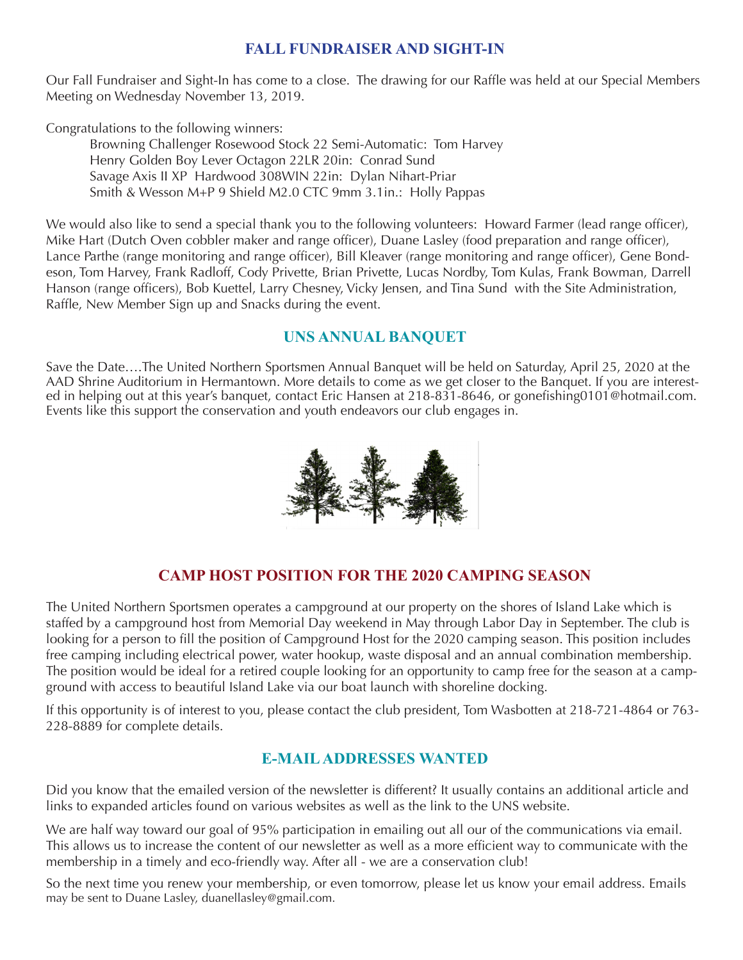## **FALL FUNDRAISER AND SIGHT-IN**

Our Fall Fundraiser and Sight-In has come to a close. The drawing for our Raffle was held at our Special Members Meeting on Wednesday November 13, 2019.

Congratulations to the following winners:

Browning Challenger Rosewood Stock 22 Semi-Automatic: Tom Harvey Henry Golden Boy Lever Octagon 22LR 20in: Conrad Sund Savage Axis II XP Hardwood 308WIN 22in: Dylan Nihart-Priar Smith & Wesson M+P 9 Shield M2.0 CTC 9mm 3.1in.: Holly Pappas

We would also like to send a special thank you to the following volunteers: Howard Farmer (lead range officer), Mike Hart (Dutch Oven cobbler maker and range officer), Duane Lasley (food preparation and range officer), Lance Parthe (range monitoring and range officer), Bill Kleaver (range monitoring and range officer), Gene Bondeson, Tom Harvey, Frank Radloff, Cody Privette, Brian Privette, Lucas Nordby, Tom Kulas, Frank Bowman, Darrell Hanson (range officers), Bob Kuettel, Larry Chesney, Vicky Jensen, and Tina Sund with the Site Administration, Raffle, New Member Sign up and Snacks during the event.

## **UNS ANNUAL BANQUET**

Save the Date….The United Northern Sportsmen Annual Banquet will be held on Saturday, April 25, 2020 at the AAD Shrine Auditorium in Hermantown. More details to come as we get closer to the Banquet. If you are interested in helping out at this year's banquet, contact Eric Hansen at 218-831-8646, or gonefishing0101@hotmail.com. Events like this support the conservation and youth endeavors our club engages in.



# **CAMP HOST POSITION FOR THE 2020 CAMPING SEASON**

The United Northern Sportsmen operates a campground at our property on the shores of Island Lake which is staffed by a campground host from Memorial Day weekend in May through Labor Day in September. The club is looking for a person to fill the position of Campground Host for the 2020 camping season. This position includes free camping including electrical power, water hookup, waste disposal and an annual combination membership. The position would be ideal for a retired couple looking for an opportunity to camp free for the season at a campground with access to beautiful Island Lake via our boat launch with shoreline docking.

If this opportunity is of interest to you, please contact the club president, Tom Wasbotten at 218-721-4864 or 763- 228-8889 for complete details.

# **E-MAIL ADDRESSES WANTED**

Did you know that the emailed version of the newsletter is different? It usually contains an additional article and links to expanded articles found on various websites as well as the link to the UNS website.

We are half way toward our goal of 95% participation in emailing out all our of the communications via email. This allows us to increase the content of our newsletter as well as a more efficient way to communicate with the membership in a timely and eco-friendly way. After all - we are a conservation club!

So the next time you renew your membership, or even tomorrow, please let us know your email address. Emails may be sent to Duane Lasley, duanellasley@gmail.com.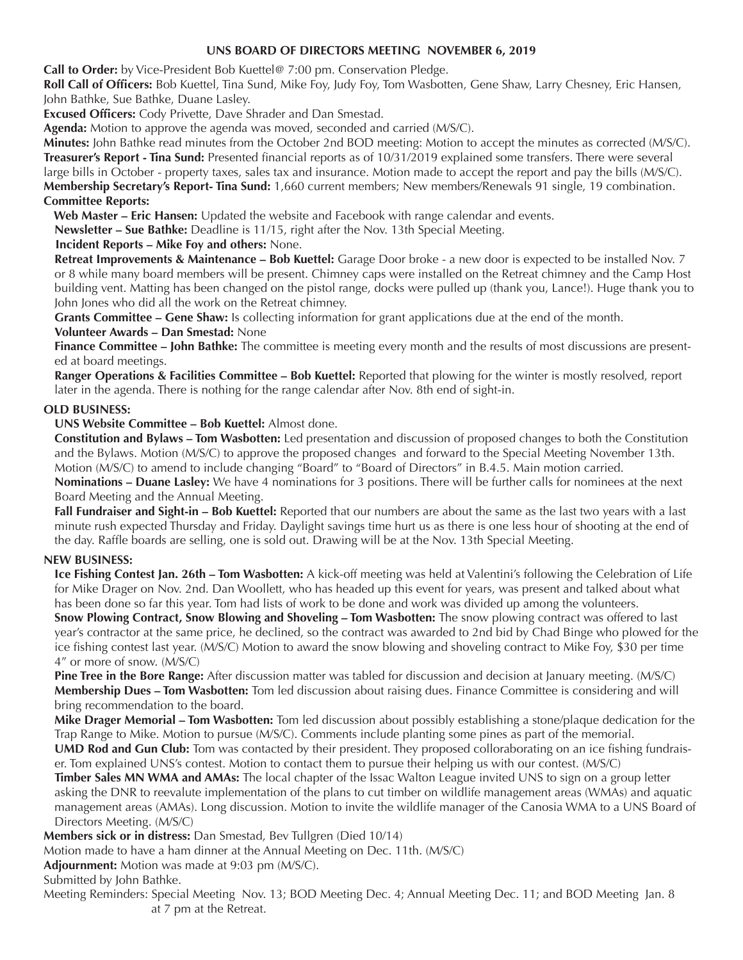### **UNS BOARD OF DIRECTORS MEETING NOVEMBER 6, 2019**

**Call to Order:** by Vice-President Bob Kuettel@ 7:00 pm. Conservation Pledge.

**Roll Call of Officers:** Bob Kuettel, Tina Sund, Mike Foy, Judy Foy, Tom Wasbotten, Gene Shaw, Larry Chesney, Eric Hansen, John Bathke, Sue Bathke, Duane Lasley.

**Excused Officers:** Cody Privette, Dave Shrader and Dan Smestad.

**Agenda:** Motion to approve the agenda was moved, seconded and carried (M/S/C).

**Minutes:** John Bathke read minutes from the October 2nd BOD meeting: Motion to accept the minutes as corrected (M/S/C). **Treasurer's Report - Tina Sund:** Presented financial reports as of 10/31/2019 explained some transfers. There were several large bills in October - property taxes, sales tax and insurance. Motion made to accept the report and pay the bills (M/S/C). **Membership Secretary's Report- Tina Sund:** 1,660 current members; New members/Renewals 91 single, 19 combination. **Committee Reports:**

 **Web Master – Eric Hansen:** Updated the website and Facebook with range calendar and events.

**Newsletter – Sue Bathke:** Deadline is 11/15, right after the Nov. 13th Special Meeting.

#### **Incident Reports – Mike Foy and others:** None.

**Retreat Improvements & Maintenance – Bob Kuettel:** Garage Door broke - a new door is expected to be installed Nov. 7 or 8 while many board members will be present. Chimney caps were installed on the Retreat chimney and the Camp Host building vent. Matting has been changed on the pistol range, docks were pulled up (thank you, Lance!). Huge thank you to John Jones who did all the work on the Retreat chimney.

**Grants Committee – Gene Shaw:** Is collecting information for grant applications due at the end of the month.

#### **Volunteer Awards – Dan Smestad:** None

Finance Committee - John Bathke: The committee is meeting every month and the results of most discussions are presented at board meetings.

**Ranger Operations & Facilities Committee – Bob Kuettel:** Reported that plowing for the winter is mostly resolved, report later in the agenda. There is nothing for the range calendar after Nov. 8th end of sight-in.

#### **OLD BUSINESS:**

**UNS Website Committee – Bob Kuettel:** Almost done.

**Constitution and Bylaws – Tom Wasbotten:** Led presentation and discussion of proposed changes to both the Constitution and the Bylaws. Motion (M/S/C) to approve the proposed changes and forward to the Special Meeting November 13th. Motion (M/S/C) to amend to include changing "Board" to "Board of Directors" in B.4.5. Main motion carried.

**Nominations – Duane Lasley:** We have 4 nominations for 3 positions. There will be further calls for nominees at the next Board Meeting and the Annual Meeting.

**Fall Fundraiser and Sight-in – Bob Kuettel:** Reported that our numbers are about the same as the last two years with a last minute rush expected Thursday and Friday. Daylight savings time hurt us as there is one less hour of shooting at the end of the day. Raffle boards are selling, one is sold out. Drawing will be at the Nov. 13th Special Meeting.

### **NEW BUSINESS:**

**Ice Fishing Contest Jan. 26th – Tom Wasbotten:** A kick-off meeting was held at Valentini's following the Celebration of Life for Mike Drager on Nov. 2nd. Dan Woollett, who has headed up this event for years, was present and talked about what has been done so far this year. Tom had lists of work to be done and work was divided up among the volunteers.

**Snow Plowing Contract, Snow Blowing and Shoveling – Tom Wasbotten:** The snow plowing contract was offered to last year's contractor at the same price, he declined, so the contract was awarded to 2nd bid by Chad Binge who plowed for the ice fishing contest last year. (M/S/C) Motion to award the snow blowing and shoveling contract to Mike Foy, \$30 per time 4" or more of snow. (M/S/C)

**Pine Tree in the Bore Range:** After discussion matter was tabled for discussion and decision at January meeting. (M/S/C) **Membership Dues – Tom Wasbotten:** Tom led discussion about raising dues. Finance Committee is considering and will bring recommendation to the board.

**Mike Drager Memorial – Tom Wasbotten:** Tom led discussion about possibly establishing a stone/plaque dedication for the Trap Range to Mike. Motion to pursue (M/S/C). Comments include planting some pines as part of the memorial.

**UMD Rod and Gun Club:** Tom was contacted by their president. They proposed colloraborating on an ice fishing fundraiser. Tom explained UNS's contest. Motion to contact them to pursue their helping us with our contest. (M/S/C)

**Timber Sales MN WMA and AMAs:** The local chapter of the Issac Walton League invited UNS to sign on a group letter asking the DNR to reevalute implementation of the plans to cut timber on wildlife management areas (WMAs) and aquatic management areas (AMAs). Long discussion. Motion to invite the wildlife manager of the Canosia WMA to a UNS Board of Directors Meeting. (M/S/C)

**Members sick or in distress:** Dan Smestad, Bev Tullgren (Died 10/14)

Motion made to have a ham dinner at the Annual Meeting on Dec. 11th. (M/S/C)

**Adjournment:** Motion was made at 9:03 pm (M/S/C).

Submitted by John Bathke.

Meeting Reminders: Special Meeting Nov. 13; BOD Meeting Dec. 4; Annual Meeting Dec. 11; and BOD Meeting Jan. 8 at 7 pm at the Retreat.